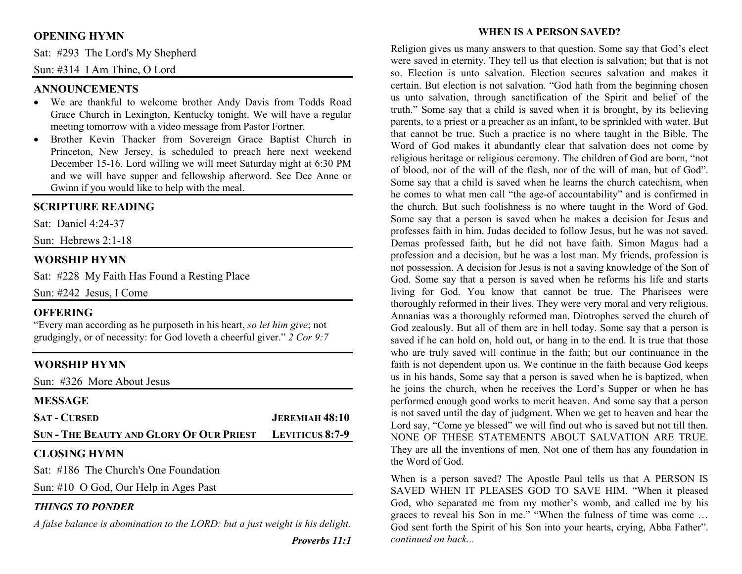# **OPENING HYMN**

Sat: #293 The Lord's My Shepherd

Sun: #314 I Am Thine, O Lord

## **ANNOUNCEMENTS**

- We are thankful to welcome brother Andy Davis from Todds Road Grace Church in Lexington, Kentucky tonight. We will have a regular meeting tomorrow with a video message from Pastor Fortner.
- Brother Kevin Thacker from Sovereign Grace Baptist Church in •Princeton, New Jersey, is scheduled to preach here next weekend December 15-16. Lord willing we will meet Saturday night at 6:30 PM and we will have supper and fellowship afterword. See Dee Anne or Gwinn if you would like to help with the meal.

# **SCRIPTURE READING**

Sat: Daniel 4:24-37

Sun: Hebrews 2:1-18

## **WORSHIP HYMN**

Sat: #228 My Faith Has Found a Resting Place

Sun: #242 Jesus, I Come

## **OFFERING**

 "Every man according as he purposeth in his heart, *so let him give*; not grudgingly, or of necessity: for God loveth a cheerful giver." *2 Cor 9:7*

## **WORSHIP HYMN**

Sun: #326 More About Jesus

| <b>MESSAGE</b>                                                  |                       |
|-----------------------------------------------------------------|-----------------------|
| <b>SAT - CURSED</b>                                             | <b>JEREMIAH 48:10</b> |
| <b>SUN - THE BEAUTY AND GLORY OF OUR PRIEST LEVITICUS 8:7-9</b> |                       |
| <b>CLOSING HYMN</b>                                             |                       |
| Sat: #186 The Church's One Foundation                           |                       |
| Sun: #10 $\odot$ God, Our Help in Ages Past                     |                       |

## *THINGS TO PONDER*

*A false balance is abomination to the LORD: but a just weight is his delight.* 

#### **WHEN IS A PERSON SAVED?**

Religion gives us many answers to that question. Some say that God's elect were saved in eternity. They tell us that election is salvation; but that is not so. Election is unto salvation. Election secures salvation and makes it certain. But election is not salvation. "God hath from the beginning chosen us unto salvation, through sanctification of the Spirit and belief of the truth." Some say that a child is saved when it is brought, by its believing parents, to a priest or a preacher as an infant, to be sprinkled with water. But that cannot be true. Such a practice is no where taught in the Bible. The Word of God makes it abundantly clear that salvation does not come by religious heritage or religious ceremony. The children of God are born, "not of blood, nor of the will of the flesh, nor of the will of man, but of God". Some say that a child is saved when he learns the church catechism, when he comes to what men call "the age-of accountability" and is confirmed in the church. But such foolishness is no where taught in the Word of God. Some say that a person is saved when he makes a decision for Jesus and professes faith in him. Judas decided to follow Jesus, but he was not saved. Demas professed faith, but he did not have faith. Simon Magus had a profession and a decision, but he was a lost man. My friends, profession is not possession. A decision for Jesus is not a saving knowledge of the Son of God. Some say that a person is saved when he reforms his life and starts living for God. You know that cannot be true. The Pharisees were thoroughly reformed in their lives. They were very moral and very religious. Annanias was a thoroughly reformed man. Diotrophes served the church of God zealously. But all of them are in hell today. Some say that a person is saved if he can hold on, hold out, or hang in to the end. It is true that those who are truly saved will continue in the faith; but our continuance in the faith is not dependent upon us. We continue in the faith because God keeps us in his hands, Some say that a person is saved when he is baptized, when he joins the church, when he receives the Lord's Supper or when he has performed enough good works to merit heaven. And some say that a person is not saved until the day of judgment. When we get to heaven and hear the Lord say, "Come ye blessed" we will find out who is saved but not till then. NONE OF THESE STATEMENTS ABOUT SALVATION ARE TRUE. They are all the inventions of men. Not one of them has any foundation in the Word of God.

When is a person saved? The Apostle Paul tells us that A PERSON IS SAVED WHEN IT PLEASES GOD TO SAVE HIM. "When it pleased God, who separated me from my mother's womb, and called me by his graces to reveal his Son in me." "When the fulness of time was come … God sent forth the Spirit of his Son into your hearts, crying, Abba Father". *continued on back...*